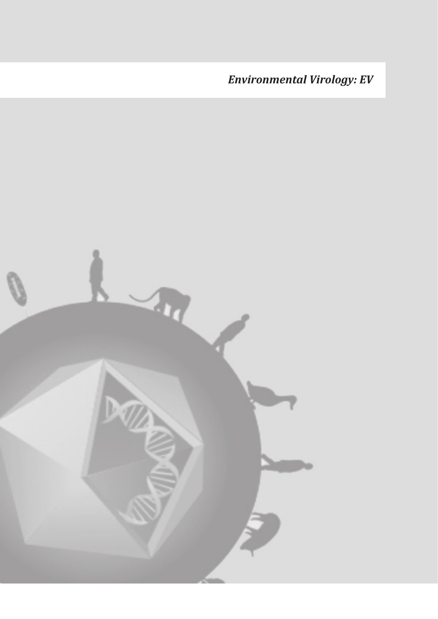*Environmental Virology: EV* 

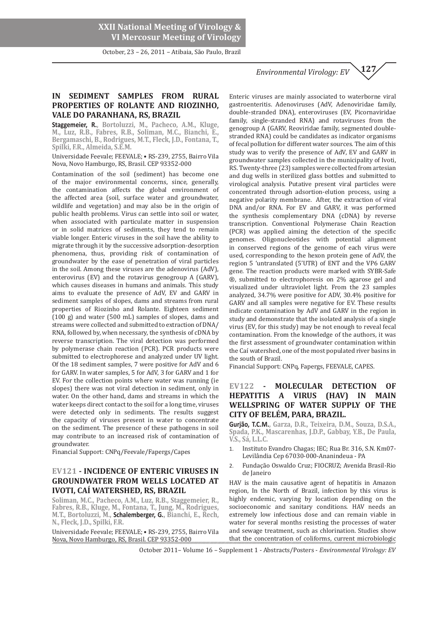October, 23 – 26, 2011 – Atibaia, São Paulo, Brazil

*Environmental Virology: EV*  **127**

## **IN SEDIMENT SAMPLES FROM RURAL PROPERTIES OF ROLANTE AND RIOZINHO, VALE DO PARANHANA, RS, BRAZIL**

**Staggemeier, R., Bortoluzzi, M., Pacheco, A.M., Kluge, M., Luz, R.B., Fabres, R.B., Soliman, M.C., Bianchi, E., Bergamaschi, B., Rodrigues, M.T., Fleck, J.D., Fontana, T., Spilki, F.R., Almeida, S.E.M.**

Universidade Feevale; FEEVALE; • RS-239, 2755, Bairro Vila Nova, Novo Hamburgo, RS, Brasil. CEP 93352-000

Contamination of the soil (sediment) has become one of the major environmental concerns, since, generally, the contamination affects the global environment of the affected area (soil, surface water and groundwater, wildlife and vegetation) and may also be in the origin of public health problems. Virus can settle into soil or water, when associated with particulate matter in suspension or in solid matrices of sediments, they tend to remain viable longer. Enteric viruses in the soil have the ability to migrate through it by the successive adsorption-desorption phenomena, thus, providing risk of contamination of groundwater by the ease of penetration of viral particles in the soil. Among these viruses are the adenovirus (AdV), enterovirus (EV) and the rotavirus genogroup A (GARV), which causes diseases in humans and animals. This study aims to evaluate the presence of AdV, EV and GARV in sediment samples of slopes, dams and streams from rural properties of Riozinho and Rolante. Eighteen sediment (100 g) and water (500 mL) samples of slopes, dams and streams were collected and submitted to extraction of DNA/ RNA, followed by, when necessary, the synthesis of cDNA by reverse transcription. The viral detection was performed by polymerase chain reaction (PCR). PCR products were submitted to electrophorese and analyzed under UV light. Of the 18 sediment samples, 7 were positive for AdV and 6 for GARV. In water samples, 5 for AdV, 3 for GARV and 1 for EV. For the collection points where water was running (ie slopes) there was not viral detection in sediment, only in water. On the other hand, dams and streams in which the water keeps direct contact to the soil for a long time, viruses were detected only in sediments. The results suggest the capacity of viruses present in water to concentrate on the sediment. The presence of these pathogens in soil may contribute to an increased risk of contamination of groundwater.

Financial Support: CNPq/Feevale/Fapergs/Capes

## **EV121 - INCIDENCE OF ENTERIC VIRUSES IN GROUNDWATER FROM WELLS LOCATED AT IVOTI, CAÍ WATERSHED, RS, BRAZIL**

 **Soliman, M.C., Pacheco, A.M., Luz, R.B., Staggemeier, R., Fabres, R.B., Kluge, M., Fontana, T., Jung, M., Rodrigues, M.T., Bortoluzzi, M., Schalemberger, G., Bianchi, E., Rech, N., Fleck, J.D., Spilki, F.R.**

Universidade Feevale; FEEVALE; • RS-239, 2755, Bairro Vila Nova, Novo Hamburgo, RS, Brasil. CEP 93352-000

Enteric viruses are mainly associated to waterborne viral gastroenteritis. Adenoviruses (AdV, Adenoviridae family, double-stranded DNA), enteroviruses (EV, Picornaviridae family, single-stranded RNA) and rotaviruses from the genogroup A (GARV, Reoviridae family, segmented doublestranded RNA) could be candidates as indicator organisms of fecal pollution for different water sources. The aim of this study was to verify the presence of AdV, EV and GARV in groundwater samples collected in the municipality of Ivoti, RS. Twenty-three (23) samples were collected from artesian and dug wells in sterilized glass bottles and submitted to virological analysis. Putative present viral particles were concentrated through adsortion-elution process, using a negative polarity membrane. After, the extraction of viral DNA and/or RNA. For EV and GARV, it was performed the synthesis complementary DNA (cDNA) by reverse transcription. Conventional Polymerase Chain Reaction (PCR) was applied aiming the detection of the specific genomes. Oligonucleotides with potential alignment in conserved regions of the genome of each virus were used, corresponding to the hexon protein gene of AdV, the region 5 'untranslated (5'UTR) of ENT and the VP6 GARV gene. The reaction products were marked with SYBR-Safe ®, submitted to electrophoresis on 2% agarose gel and visualized under ultraviolet light. From the 23 samples analyzed, 34.7% were positive for ADV, 30.4% positive for GARV and all samples were negative for EV. These results indicate contamination by AdV and GARV in the region in study and demonstrate that the isolated analysis of a single virus (EV, for this study) may be not enough to reveal fecal contamination. From the knowledge of the authors, it was the first assessment of groundwater contamination within the Caí watershed, one of the most populated river basins in the south of Brazil.

Financial Support: CNPq, Fapergs, FEEVALE, CAPES.

## **EV122 - MOLECULAR DETECTION OF HEPATITIS A VIRUS (HAV) IN MAIN WELLSPRING OF WATER SUPPLY OF THE CITY OF BELÉM, PARA, BRAZIL.**

**Gurjão, T.C.M., Garza, D.R., Teixeira, D.M., Souza, D.S.A., Spada, P.K., Mascarenhas, J.D.P., Gabbay, Y.B., De Paula, V.S., Sá, L.L.C.**

- 1. Instituto Evandro Chagas; IEC; Rua Br. 316, S.N. Km07- Levilândia Cep 67030-000-Ananindeua - PA
- 2. Fundação Oswaldo Cruz; FIOCRUZ; Avenida Brasil-Rio de Janeiro

HAV is the main causative agent of hepatitis in Amazon region, In the North of Brazil, infection by this virus is highly endemic, varying by location depending on the socioeconomic and sanitary conditions. HAV needs an extremely low infectious dose and can remain viable in water for several months resisting the processes of water and sewage treatment, such as chlorination. Studies show that the concentration of coliforms, current microbiologic

October 2011– Volume 16 – Supplement 1 - Abstracts/Posters - *Environmental Virology: EV*